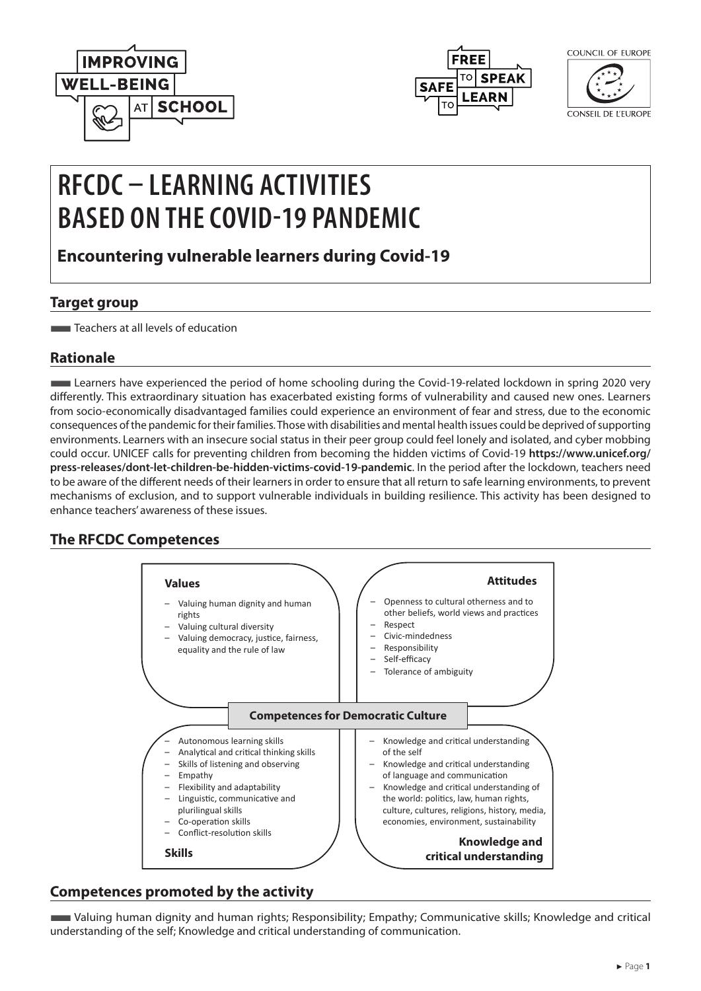



| COUNCIL OF EUROPE |  |  |
|-------------------|--|--|
|                   |  |  |

CONSEIL DE L'EUROPE

# **RFCDC – LEARNING ACTIVITIES BASED ON THE COVID-19 PANDEMIC**

**Encountering vulnerable learners during Covid-19**

## **Target group**

**Teachers at all levels of education** 

### **Rationale**

■Learners have experienced the period of home schooling during the Covid-19-related lockdown in spring 2020 very differently. This extraordinary situation has exacerbated existing forms of vulnerability and caused new ones. Learners from socio-economically disadvantaged families could experience an environment of fear and stress, due to the economic consequences of the pandemic for their families. Those with disabilities and mental health issues could be deprived of supporting environments. Learners with an insecure social status in their peer group could feel lonely and isolated, and cyber mobbing could occur. UNICEF calls for preventing children from becoming the hidden victims of Covid-19 **[https://www.unicef.org/](https://www.unicef.org/press-releases/dont-let-children-be-hidden-victims-covid-19-pandemic) [press-releases/dont-let-children-be-hidden-victims-covid-19-pandemic](https://www.unicef.org/press-releases/dont-let-children-be-hidden-victims-covid-19-pandemic)**. In the period after the lockdown, teachers need to be aware of the different needs of their learners in order to ensure that all return to safe learning environments, to prevent mechanisms of exclusion, and to support vulnerable individuals in building resilience. This activity has been designed to enhance teachers' awareness of these issues.

# **The RFCDC Competences**



# **Competences promoted by the activity**

■Valuing human dignity and human rights; Responsibility; Empathy; Communicative skills; Knowledge and critical understanding of the self; Knowledge and critical understanding of communication.